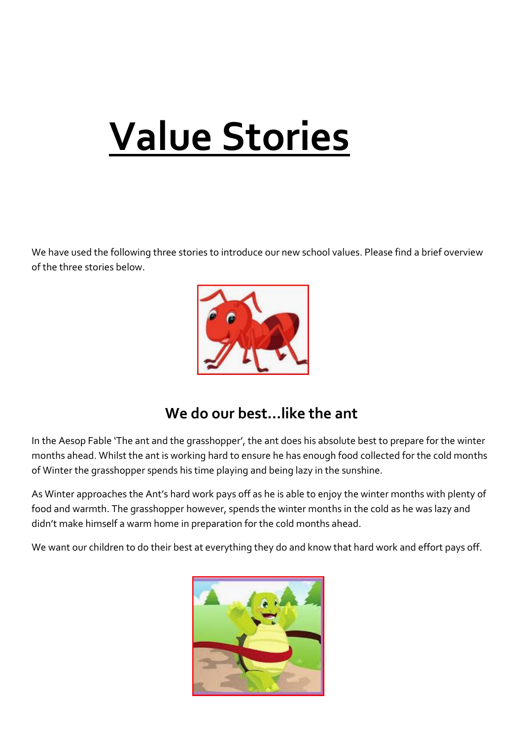## **Value Stories**

We have used the following three stories to introduce our new school values. Please find a brief overview of the three stories below.



## **We do our best…like the ant**

In the Aesop Fable 'The ant and the grasshopper', the ant does his absolute best to prepare for the winter months ahead. Whilst the ant is working hard to ensure he has enough food collected for the cold months of Winter the grasshopper spends his time playing and being lazy in the sunshine.

As Winter approaches the Ant's hard work pays off as he is able to enjoy the winter months with plenty of food and warmth. The grasshopper however, spends the winter months in the cold as he was lazy and didn't make himself a warm home in preparation for the cold months ahead.

We want our children to do their best at everything they do and know that hard work and effort pays off.